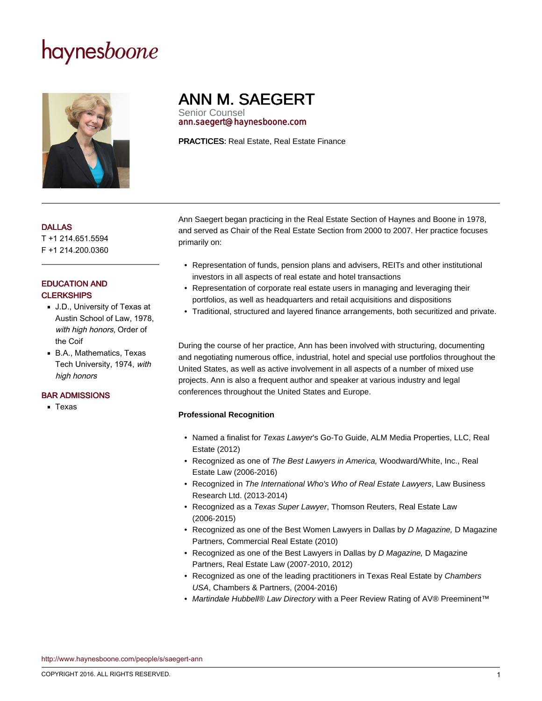# haynesboone



# ANN M. SAEGERT

Senior Counsel ann.saegert@haynesboone.com

PRACTICES: Real Estate, Real Estate Finance

#### DALLAS

T +1 214.651.5594 F +1 214.200.0360

## EDUCATION AND **CI FRKSHIPS**

- J.D., University of Texas at Austin School of Law, 1978, with high honors, Order of the Coif
- B.A., Mathematics, Texas Tech University, 1974, with high honors

### BAR ADMISSIONS

■ Texas

Ann Saegert began practicing in the Real Estate Section of Haynes and Boone in 1978, and served as Chair of the Real Estate Section from 2000 to 2007. Her practice focuses primarily on:

- Representation of funds, pension plans and advisers, REITs and other institutional investors in all aspects of real estate and hotel transactions
- Representation of corporate real estate users in managing and leveraging their portfolios, as well as headquarters and retail acquisitions and dispositions
- Traditional, structured and layered finance arrangements, both securitized and private.

During the course of her practice, Ann has been involved with structuring, documenting and negotiating numerous office, industrial, hotel and special use portfolios throughout the United States, as well as active involvement in all aspects of a number of mixed use projects. Ann is also a frequent author and speaker at various industry and legal conferences throughout the United States and Europe.

# **Professional Recognition**

- Named a finalist for Texas Lawyer's Go-To Guide, ALM Media Properties, LLC, Real Estate (2012)
- Recognized as one of The Best Lawyers in America, Woodward/White, Inc., Real Estate Law (2006-2016)
- Recognized in The International Who's Who of Real Estate Lawyers, Law Business Research Ltd. (2013-2014)
- Recognized as a Texas Super Lawyer, Thomson Reuters, Real Estate Law (2006-2015)
- Recognized as one of the Best Women Lawyers in Dallas by D Magazine, D Magazine Partners, Commercial Real Estate (2010)
- Recognized as one of the Best Lawyers in Dallas by D Magazine, D Magazine Partners, Real Estate Law (2007-2010, 2012)
- Recognized as one of the leading practitioners in Texas Real Estate by Chambers USA, Chambers & Partners, (2004-2016)
- Martindale Hubbell® Law Directory with a Peer Review Rating of AV® Preeminent<sup>™</sup>